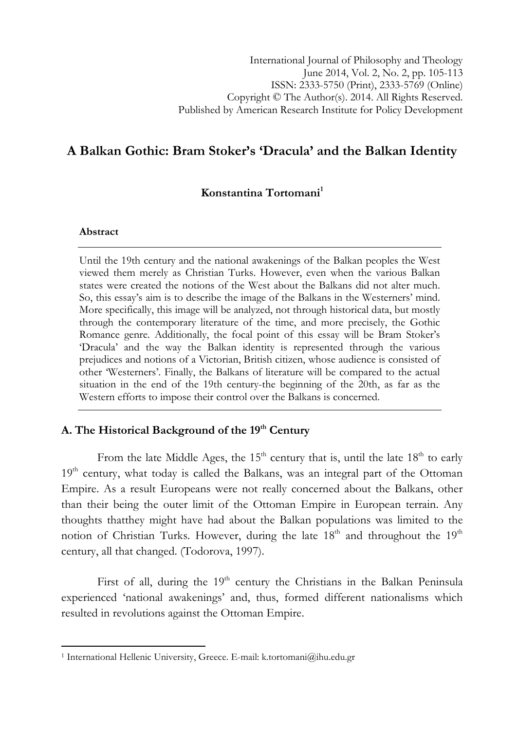# A Balkan Gothic: Bram Stoker's 'Dracula' and the Balkan Identity

## Konstantina Tortomani<sup>1</sup>

### Abstract

l

Until the 19th century and the national awakenings of the Balkan peoples the West viewed them merely as Christian Turks. However, even when the various Balkan states were created the notions of the West about the Balkans did not alter much. So, this essay's aim is to describe the image of the Balkans in the Westerners' mind. More specifically, this image will be analyzed, not through historical data, but mostly through the contemporary literature of the time, and more precisely, the Gothic Romance genre. Additionally, the focal point of this essay will be Bram Stoker's 'Dracula' and the way the Balkan identity is represented through the various prejudices and notions of a Victorian, British citizen, whose audience is consisted of other 'Westerners'. Finally, the Balkans of literature will be compared to the actual situation in the end of the 19th century-the beginning of the 20th, as far as the Western efforts to impose their control over the Balkans is concerned.

# A. The Historical Background of the 19<sup>th</sup> Century

From the late Middle Ages, the  $15<sup>th</sup>$  century that is, until the late  $18<sup>th</sup>$  to early 19<sup>th</sup> century, what today is called the Balkans, was an integral part of the Ottoman Empire. As a result Europeans were not really concerned about the Balkans, other than their being the outer limit of the Ottoman Empire in European terrain. Any thoughts thatthey might have had about the Balkan populations was limited to the notion of Christian Turks. However, during the late  $18<sup>th</sup>$  and throughout the  $19<sup>th</sup>$ century, all that changed. (Todorova, 1997).

First of all, during the  $19<sup>th</sup>$  century the Christians in the Balkan Peninsula experienced 'national awakenings' and, thus, formed different nationalisms which resulted in revolutions against the Ottoman Empire.

<sup>&</sup>lt;sup>1</sup> International Hellenic University, Greece. E-mail: k.tortomani@ihu.edu.gr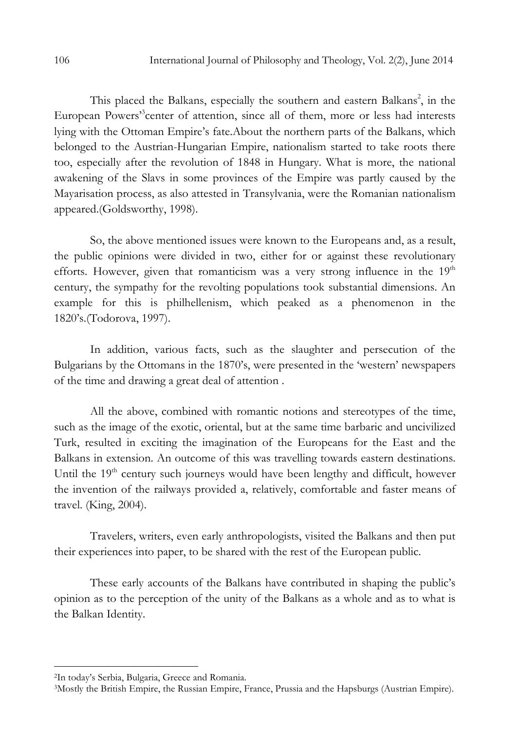This placed the Balkans, especially the southern and eastern Balkans<sup>2</sup>, in the European Powers'<sup>3</sup> center of attention, since all of them, more or less had interests lying with the Ottoman Empire's fate.About the northern parts of the Balkans, which belonged to the Austrian-Hungarian Empire, nationalism started to take roots there too, especially after the revolution of 1848 in Hungary. What is more, the national awakening of the Slavs in some provinces of the Empire was partly caused by the Mayarisation process, as also attested in Transylvania, were the Romanian nationalism appeared.(Goldsworthy, 1998).

So, the above mentioned issues were known to the Europeans and, as a result, the public opinions were divided in two, either for or against these revolutionary efforts. However, given that romanticism was a very strong influence in the  $19<sup>th</sup>$ century, the sympathy for the revolting populations took substantial dimensions. An example for this is philhellenism, which peaked as a phenomenon in the 1820's.(Todorova, 1997).

In addition, various facts, such as the slaughter and persecution of the Bulgarians by the Ottomans in the 1870's, were presented in the 'western' newspapers of the time and drawing a great deal of attention .

All the above, combined with romantic notions and stereotypes of the time, such as the image of the exotic, oriental, but at the same time barbaric and uncivilized Turk, resulted in exciting the imagination of the Europeans for the East and the Balkans in extension. An outcome of this was travelling towards eastern destinations. Until the 19<sup>th</sup> century such journeys would have been lengthy and difficult, however the invention of the railways provided a, relatively, comfortable and faster means of travel. (King, 2004).

Travelers, writers, even early anthropologists, visited the Balkans and then put their experiences into paper, to be shared with the rest of the European public.

These early accounts of the Balkans have contributed in shaping the public's opinion as to the perception of the unity of the Balkans as a whole and as to what is the Balkan Identity.

 $\overline{a}$ 

<sup>2</sup>In today's Serbia, Bulgaria, Greece and Romania.

<sup>3</sup>Mostly the British Empire, the Russian Empire, France, Prussia and the Hapsburgs (Austrian Empire).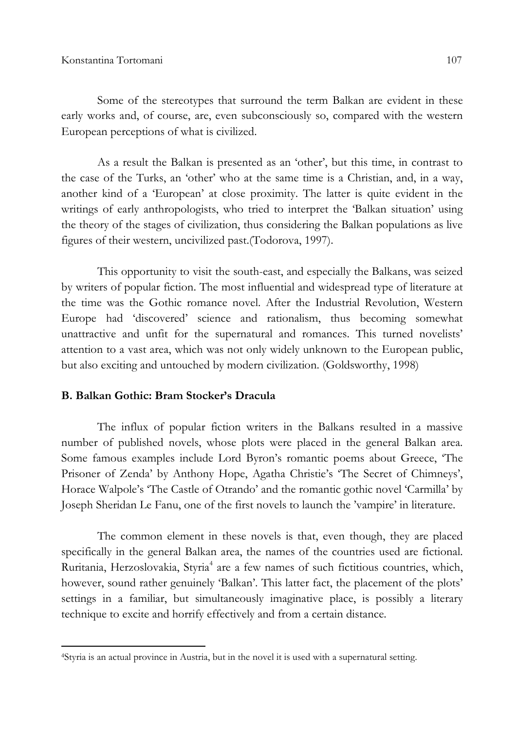Some of the stereotypes that surround the term Balkan are evident in these early works and, of course, are, even subconsciously so, compared with the western European perceptions of what is civilized.

As a result the Balkan is presented as an 'other', but this time, in contrast to the case of the Turks, an 'other' who at the same time is a Christian, and, in a way, another kind of a 'European' at close proximity. The latter is quite evident in the writings of early anthropologists, who tried to interpret the 'Balkan situation' using the theory of the stages of civilization, thus considering the Balkan populations as live figures of their western, uncivilized past.(Todorova, 1997).

This opportunity to visit the south-east, and especially the Balkans, was seized by writers of popular fiction. The most influential and widespread type of literature at the time was the Gothic romance novel. After the Industrial Revolution, Western Europe had 'discovered' science and rationalism, thus becoming somewhat unattractive and unfit for the supernatural and romances. This turned novelists' attention to a vast area, which was not only widely unknown to the European public, but also exciting and untouched by modern civilization. (Goldsworthy, 1998)

#### B. Balkan Gothic: Bram Stocker's Dracula

l

The influx of popular fiction writers in the Balkans resulted in a massive number of published novels, whose plots were placed in the general Balkan area. Some famous examples include Lord Byron's romantic poems about Greece, 'The Prisoner of Zenda' by Anthony Hope, Agatha Christie's 'The Secret of Chimneys', Horace Walpole's 'The Castle of Otrando' and the romantic gothic novel 'Carmilla' by Joseph Sheridan Le Fanu, one of the first novels to launch the 'vampire' in literature.

The common element in these novels is that, even though, they are placed specifically in the general Balkan area, the names of the countries used are fictional. Ruritania, Herzoslovakia, Styria<sup>4</sup> are a few names of such fictitious countries, which, however, sound rather genuinely 'Balkan'. This latter fact, the placement of the plots' settings in a familiar, but simultaneously imaginative place, is possibly a literary technique to excite and horrify effectively and from a certain distance.

<sup>4</sup>Styria is an actual province in Austria, but in the novel it is used with a supernatural setting.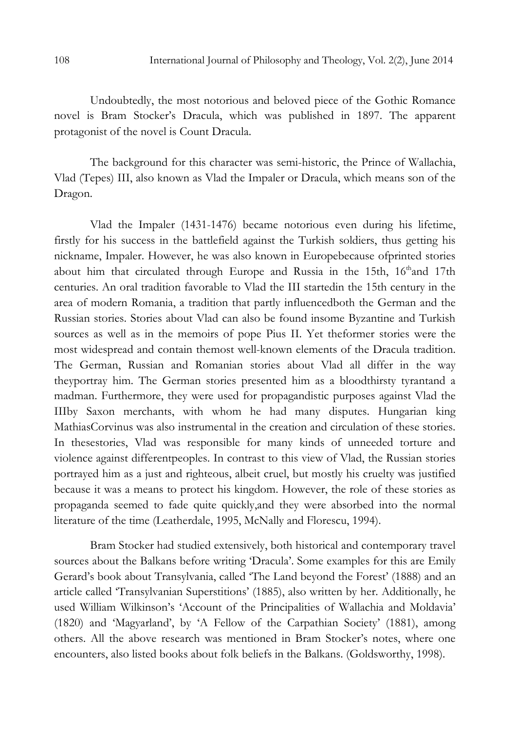Undoubtedly, the most notorious and beloved piece of the Gothic Romance novel is Bram Stocker's Dracula, which was published in 1897. The apparent protagonist of the novel is Count Dracula.

The background for this character was semi-historic, the Prince of Wallachia, Vlad (Tepes) III, also known as Vlad the Impaler or Dracula, which means son of the Dragon.

Vlad the Impaler (1431-1476) became notorious even during his lifetime, firstly for his success in the battlefield against the Turkish soldiers, thus getting his nickname, Impaler. However, he was also known in Europebecause ofprinted stories about him that circulated through Europe and Russia in the 15th, 16<sup>th</sup>and 17th centuries. An oral tradition favorable to Vlad the III startedin the 15th century in the area of modern Romania, a tradition that partly influencedboth the German and the Russian stories. Stories about Vlad can also be found insome Byzantine and Turkish sources as well as in the memoirs of pope Pius II. Yet theformer stories were the most widespread and contain themost well-known elements of the Dracula tradition. The German, Russian and Romanian stories about Vlad all differ in the way theyportray him. The German stories presented him as a bloodthirsty tyrantand a madman. Furthermore, they were used for propagandistic purposes against Vlad the IIIby Saxon merchants, with whom he had many disputes. Hungarian king MathiasCorvinus was also instrumental in the creation and circulation of these stories. In thesestories, Vlad was responsible for many kinds of unneeded torture and violence against differentpeoples. In contrast to this view of Vlad, the Russian stories portrayed him as a just and righteous, albeit cruel, but mostly his cruelty was justified because it was a means to protect his kingdom. However, the role of these stories as propaganda seemed to fade quite quickly,and they were absorbed into the normal literature of the time (Leatherdale, 1995, McNally and Florescu, 1994).

Bram Stocker had studied extensively, both historical and contemporary travel sources about the Balkans before writing 'Dracula'. Some examples for this are Emily Gerard's book about Transylvania, called 'The Land beyond the Forest' (1888) and an article called 'Transylvanian Superstitions' (1885), also written by her. Additionally, he used William Wilkinson's 'Account of the Principalities of Wallachia and Moldavia' (1820) and 'Magyarland', by 'A Fellow of the Carpathian Society' (1881), among others. All the above research was mentioned in Bram Stocker's notes, where one encounters, also listed books about folk beliefs in the Balkans. (Goldsworthy, 1998).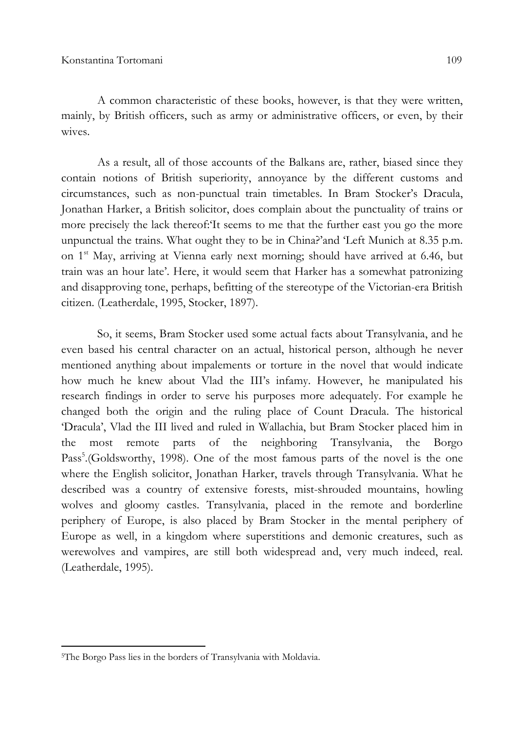A common characteristic of these books, however, is that they were written, mainly, by British officers, such as army or administrative officers, or even, by their wives.

As a result, all of those accounts of the Balkans are, rather, biased since they contain notions of British superiority, annoyance by the different customs and circumstances, such as non-punctual train timetables. In Bram Stocker's Dracula, Jonathan Harker, a British solicitor, does complain about the punctuality of trains or more precisely the lack thereof:'It seems to me that the further east you go the more unpunctual the trains. What ought they to be in China?'and 'Left Munich at 8.35 p.m. on 1<sup>st</sup> May, arriving at Vienna early next morning; should have arrived at 6.46, but train was an hour late'. Here, it would seem that Harker has a somewhat patronizing and disapproving tone, perhaps, befitting of the stereotype of the Victorian-era British citizen. (Leatherdale, 1995, Stocker, 1897).

So, it seems, Bram Stocker used some actual facts about Transylvania, and he even based his central character on an actual, historical person, although he never mentioned anything about impalements or torture in the novel that would indicate how much he knew about Vlad the III's infamy. However, he manipulated his research findings in order to serve his purposes more adequately. For example he changed both the origin and the ruling place of Count Dracula. The historical 'Dracula', Vlad the III lived and ruled in Wallachia, but Bram Stocker placed him in the most remote parts of the neighboring Transylvania, the Borgo Pass<sup>5</sup>.(Goldsworthy, 1998). One of the most famous parts of the novel is the one where the English solicitor, Jonathan Harker, travels through Transylvania. What he described was a country of extensive forests, mist-shrouded mountains, howling wolves and gloomy castles. Transylvania, placed in the remote and borderline periphery of Europe, is also placed by Bram Stocker in the mental periphery of Europe as well, in a kingdom where superstitions and demonic creatures, such as werewolves and vampires, are still both widespread and, very much indeed, real. (Leatherdale, 1995).

l

<sup>5</sup>The Borgo Pass lies in the borders of Transylvania with Moldavia.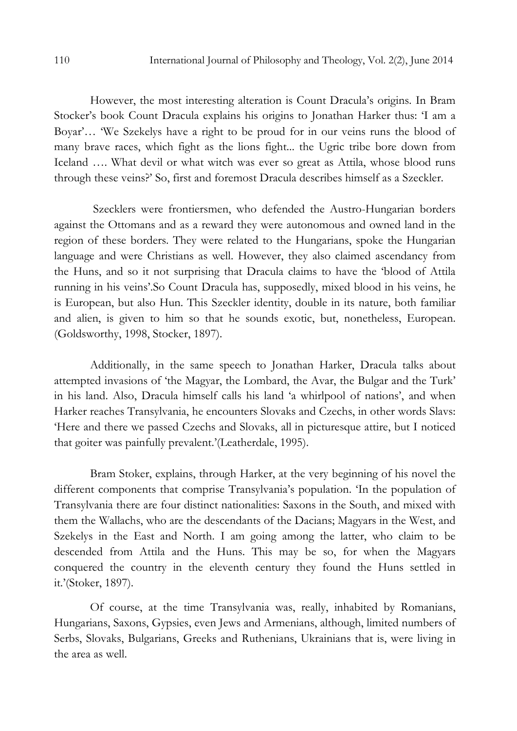However, the most interesting alteration is Count Dracula's origins. In Bram Stocker's book Count Dracula explains his origins to Jonathan Harker thus: 'I am a Boyar'… 'We Szekelys have a right to be proud for in our veins runs the blood of many brave races, which fight as the lions fight... the Ugric tribe bore down from Iceland …. What devil or what witch was ever so great as Attila, whose blood runs through these veins?' So, first and foremost Dracula describes himself as a Szeckler.

 Szecklers were frontiersmen, who defended the Austro-Hungarian borders against the Ottomans and as a reward they were autonomous and owned land in the region of these borders. They were related to the Hungarians, spoke the Hungarian language and were Christians as well. However, they also claimed ascendancy from the Huns, and so it not surprising that Dracula claims to have the 'blood of Attila running in his veins'.So Count Dracula has, supposedly, mixed blood in his veins, he is European, but also Hun. This Szeckler identity, double in its nature, both familiar and alien, is given to him so that he sounds exotic, but, nonetheless, European. (Goldsworthy, 1998, Stocker, 1897).

Additionally, in the same speech to Jonathan Harker, Dracula talks about attempted invasions of 'the Magyar, the Lombard, the Avar, the Bulgar and the Turk' in his land. Also, Dracula himself calls his land 'a whirlpool of nations', and when Harker reaches Transylvania, he encounters Slovaks and Czechs, in other words Slavs: 'Here and there we passed Czechs and Slovaks, all in picturesque attire, but I noticed that goiter was painfully prevalent.'(Leatherdale, 1995).

Bram Stoker, explains, through Harker, at the very beginning of his novel the different components that comprise Transylvania's population. 'In the population of Transylvania there are four distinct nationalities: Saxons in the South, and mixed with them the Wallachs, who are the descendants of the Dacians; Magyars in the West, and Szekelys in the East and North. I am going among the latter, who claim to be descended from Attila and the Huns. This may be so, for when the Magyars conquered the country in the eleventh century they found the Huns settled in it.'(Stoker, 1897).

Of course, at the time Transylvania was, really, inhabited by Romanians, Hungarians, Saxons, Gypsies, even Jews and Armenians, although, limited numbers of Serbs, Slovaks, Bulgarians, Greeks and Ruthenians, Ukrainians that is, were living in the area as well.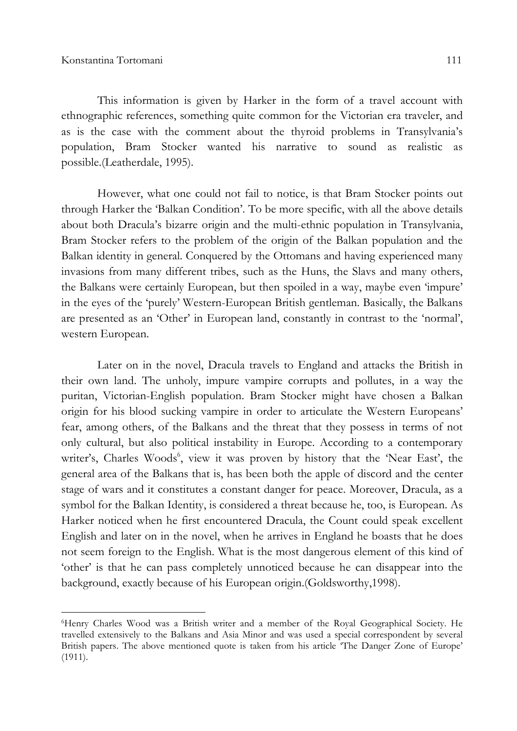l

This information is given by Harker in the form of a travel account with ethnographic references, something quite common for the Victorian era traveler, and as is the case with the comment about the thyroid problems in Transylvania's population, Bram Stocker wanted his narrative to sound as realistic as possible.(Leatherdale, 1995).

However, what one could not fail to notice, is that Bram Stocker points out through Harker the 'Balkan Condition'. To be more specific, with all the above details about both Dracula's bizarre origin and the multi-ethnic population in Transylvania, Bram Stocker refers to the problem of the origin of the Balkan population and the Balkan identity in general. Conquered by the Ottomans and having experienced many invasions from many different tribes, such as the Huns, the Slavs and many others, the Balkans were certainly European, but then spoiled in a way, maybe even 'impure' in the eyes of the 'purely' Western-European British gentleman. Basically, the Balkans are presented as an 'Other' in European land, constantly in contrast to the 'normal', western European.

Later on in the novel, Dracula travels to England and attacks the British in their own land. The unholy, impure vampire corrupts and pollutes, in a way the puritan, Victorian-English population. Bram Stocker might have chosen a Balkan origin for his blood sucking vampire in order to articulate the Western Europeans' fear, among others, of the Balkans and the threat that they possess in terms of not only cultural, but also political instability in Europe. According to a contemporary writer's, Charles Woods<sup>6</sup>, view it was proven by history that the 'Near East', the general area of the Balkans that is, has been both the apple of discord and the center stage of wars and it constitutes a constant danger for peace. Moreover, Dracula, as a symbol for the Balkan Identity, is considered a threat because he, too, is European. As Harker noticed when he first encountered Dracula, the Count could speak excellent English and later on in the novel, when he arrives in England he boasts that he does not seem foreign to the English. What is the most dangerous element of this kind of 'other' is that he can pass completely unnoticed because he can disappear into the background, exactly because of his European origin.(Goldsworthy,1998).

<sup>6</sup>Henry Charles Wood was a British writer and a member of the Royal Geographical Society. He travelled extensively to the Balkans and Asia Minor and was used a special correspondent by several British papers. The above mentioned quote is taken from his article 'The Danger Zone of Europe' (1911).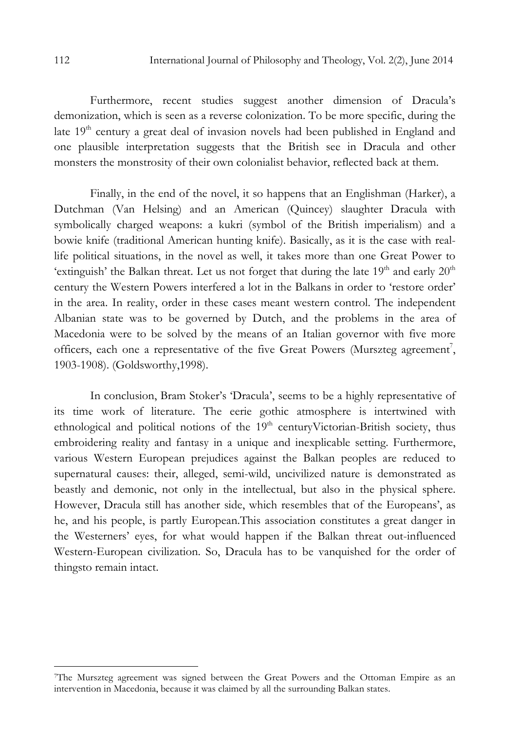Furthermore, recent studies suggest another dimension of Dracula's demonization, which is seen as a reverse colonization. To be more specific, during the late 19<sup>th</sup> century a great deal of invasion novels had been published in England and one plausible interpretation suggests that the British see in Dracula and other monsters the monstrosity of their own colonialist behavior, reflected back at them.

Finally, in the end of the novel, it so happens that an Englishman (Harker), a Dutchman (Van Helsing) and an American (Quincey) slaughter Dracula with symbolically charged weapons: a kukri (symbol of the British imperialism) and a bowie knife (traditional American hunting knife). Basically, as it is the case with reallife political situations, in the novel as well, it takes more than one Great Power to 'extinguish' the Balkan threat. Let us not forget that during the late  $19<sup>th</sup>$  and early  $20<sup>th</sup>$ century the Western Powers interfered a lot in the Balkans in order to 'restore order' in the area. In reality, order in these cases meant western control. The independent Albanian state was to be governed by Dutch, and the problems in the area of Macedonia were to be solved by the means of an Italian governor with five more officers, each one a representative of the five Great Powers (Murszteg agreement<sup>7</sup>, 1903-1908). (Goldsworthy,1998).

In conclusion, Bram Stoker's 'Dracula', seems to be a highly representative of its time work of literature. The eerie gothic atmosphere is intertwined with ethnological and political notions of the  $19<sup>th</sup>$  centuryVictorian-British society, thus embroidering reality and fantasy in a unique and inexplicable setting. Furthermore, various Western European prejudices against the Balkan peoples are reduced to supernatural causes: their, alleged, semi-wild, uncivilized nature is demonstrated as beastly and demonic, not only in the intellectual, but also in the physical sphere. However, Dracula still has another side, which resembles that of the Europeans', as he, and his people, is partly European.This association constitutes a great danger in the Westerners' eyes, for what would happen if the Balkan threat out-influenced Western-European civilization. So, Dracula has to be vanquished for the order of thingsto remain intact.

 $\overline{a}$ 

<sup>7</sup>The Murszteg agreement was signed between the Great Powers and the Ottoman Empire as an intervention in Macedonia, because it was claimed by all the surrounding Balkan states.